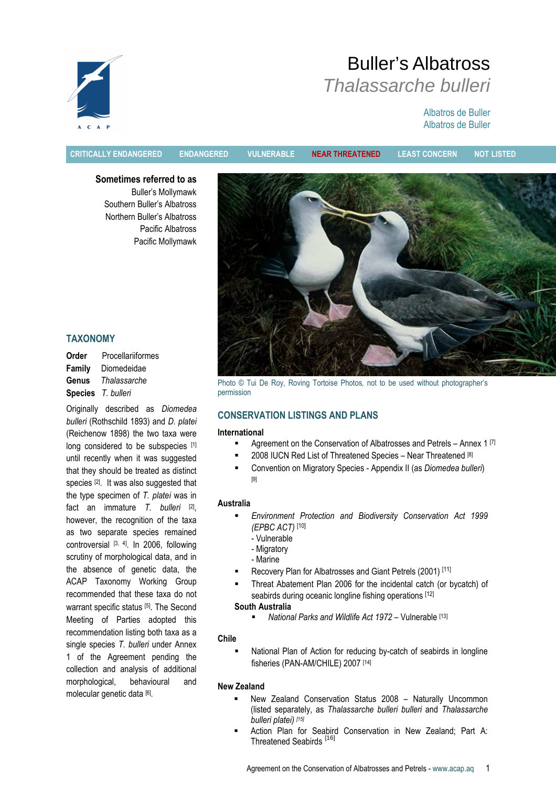# Buller's Albatross Thalassarche bulleri

# Albatros de Buller Albatros de Buller

 $C = A$ 

CRITICALLY ENDANGERED ENDANGERED VULNERABLE NEAR THREATENED LEAST CONCERN NOT LISTED

Sometimes referred to as Buller's Mollymawk Southern Buller's Albatross Northern Buller's Albatross Pacific Albatross Pacific Mollymawk



Photo © Tui De Roy, Roving Tortoise Photos, not to be used without photographer's permission

# CONSERVATION LISTINGS AND PLANS

# International

- Agreement on the Conservation of Albatrosses and Petrels Annex 1<sup>[7]</sup>
- 2008 IUCN Red List of Threatened Species Near Threatened [8]
- **EXECONVERTION ON Migratory Species Appendix II (as Diomedea bulleri)** [9]

# Australia

- Environment Protection and Biodiversity Conservation Act 1999 (EPBC ACT) [10]
	- Vulnerable
	- Migratory
	- Marine
- Recovery Plan for Albatrosses and Giant Petrels (2001) [11]
- Threat Abatement Plan 2006 for the incidental catch (or bycatch) of seabirds during oceanic longline fishing operations [12]

# South Australia

National Parks and Wildlife Act 1972 – Vulnerable [13]

# Chile

 National Plan of Action for reducing by-catch of seabirds in longline fisheries (PAN-AM/CHILE) 2007 [14]

# New Zealand

- New Zealand Conservation Status 2008 Naturally Uncommon (listed separately, as Thalassarche bulleri bulleri and Thalassarche bulleri platei) [15]
- Action Plan for Seabird Conservation in New Zealand; Part A: Threatened Seabirds<sup>[16]</sup>

# TAXONOMY

Order Procellariiformes Family Diomedeidae Genus Thalassarche Species T. bulleri

Originally described as Diomedea bulleri (Rothschild 1893) and D. platei (Reichenow 1898) the two taxa were long considered to be subspecies [1] until recently when it was suggested that they should be treated as distinct species [2]. It was also suggested that the type specimen of T. platei was in fact an immature T. bulleri <sup>[2]</sup>, however, the recognition of the taxa as two separate species remained controversial [3, 4]. In 2006, following scrutiny of morphological data, and in the absence of genetic data, the ACAP Taxonomy Working Group recommended that these taxa do not warrant specific status [5]. The Second Meeting of Parties adopted this recommendation listing both taxa as a single species T. bulleri under Annex 1 of the Agreement pending the collection and analysis of additional morphological, behavioural and molecular genetic data [6] .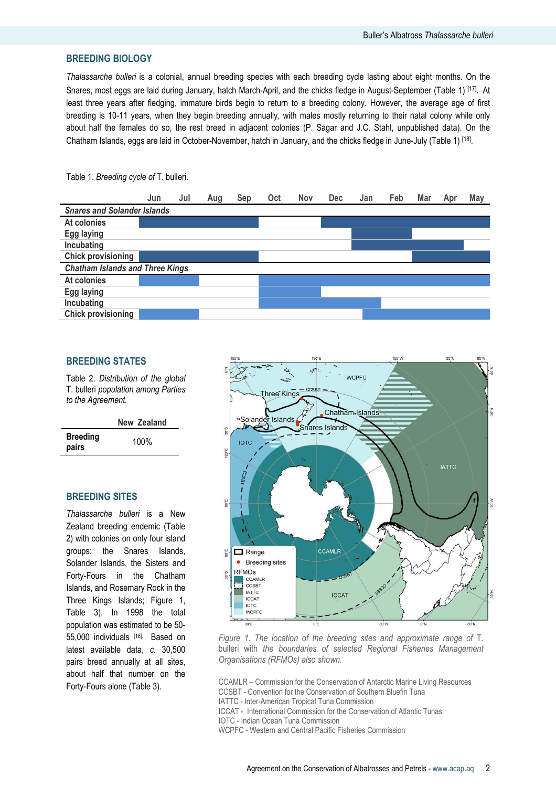# BREEDING BIOLOGY

Thalassarche bulleri is a colonial, annual breeding species with each breeding cycle lasting about eight months. On the Snares, most eggs are laid during January, hatch March-April, and the chicks fledge in August-September (Table 1) [17]. At least three years after fledging, immature birds begin to return to a breeding colony. However, the average age of first breeding is 10-11 years, when they begin breeding annually, with males mostly returning to their natal colony while only about half the females do so, the rest breed in adjacent colonies (P. Sagar and J.C. Stahl, unpublished data). On the Chatham Islands, eggs are laid in October-November, hatch in January, and the chicks fledge in June-July (Table 1) [<sup>18]</sup>.



#### Table 1. Breeding cycle of T. bulleri.

#### BREEDING STATES

Table 2. Distribution of the global T. bulleri population among Parties to the Agreement.

|                          | New Zealand |
|--------------------------|-------------|
| <b>Breeding</b><br>pairs | 100%        |

## BREEDING SITES

Thalassarche bulleri is a New Zealand breeding endemic (Table 2) with colonies on only four island groups: the Snares Islands, Solander Islands, the Sisters and Forty-Fours in the Chatham Islands, and Rosemary Rock in the Three Kings Islands; Figure 1, Table 3). In 1998 the total population was estimated to be 50- 55,000 individuals [18]. Based on latest available data, c. 30,500 pairs breed annually at all sites, about half that number on the Forty-Fours alone (Table 3).



Figure 1. The location of the breeding sites and approximate range of T. bulleri with the boundaries of selected Regional Fisheries Management Organisations (RFMOs) also shown.

CCAMLR – Commission for the Conservation of Antarctic Marine Living Resources CCSBT - Convention for the Conservation of Southern Bluefin Tuna

IATTC - Inter-American Tropical Tuna Commission

ICCAT - International Commission for the Conservation of Atlantic Tunas

IOTC - Indian Ocean Tuna Commission

WCPFC - Western and Central Pacific Fisheries Commission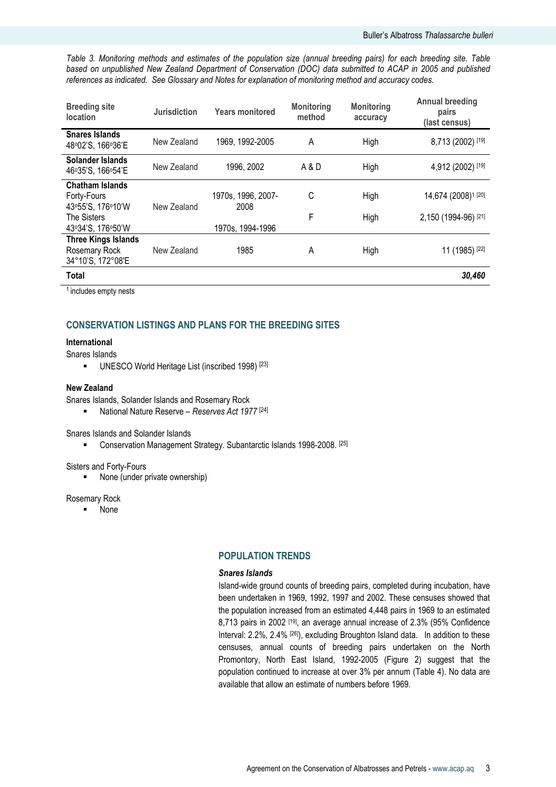Table 3. Monitoring methods and estimates of the population size (annual breeding pairs) for each breeding site. Table based on unpublished New Zealand Department of Conservation (DOC) data submitted to ACAP in 2005 and published references as indicated. See Glossary and Notes for explanation of monitoring method and accuracy codes.

| <b>Breeding site</b><br><b>location</b>                          | <b>Jurisdiction</b> | <b>Years monitored</b>     | <b>Monitoring</b><br>method | <b>Monitoring</b><br>accuracy | <b>Annual breeding</b><br>pairs<br>(last census) |
|------------------------------------------------------------------|---------------------|----------------------------|-----------------------------|-------------------------------|--------------------------------------------------|
| <b>Snares Islands</b><br>48°02'S, 166°36'E                       | New Zealand         | 1969, 1992-2005            | A                           | High                          | 8,713 (2002) [19]                                |
| Solander Islands<br>46°35'S, 166°54'E                            | New Zealand         | 1996, 2002                 | A & D                       | High                          | 4,912 (2002) [19]                                |
| <b>Chatham Islands</b><br>Forty-Fours<br>43°55'S, 176°10'W       | New Zealand         | 1970s, 1996, 2007-<br>2008 | C                           | High                          | 14,674 (2008) <sup>1</sup> [20]                  |
| <b>The Sisters</b><br>43°34'S, 176°50'W                          |                     | 1970s, 1994-1996           | F                           | High                          | 2,150 (1994-96) [21]                             |
| <b>Three Kings Islands</b><br>Rosemary Rock<br>34°10'S, 172°08'E | New Zealand         | 1985                       | A                           | High                          | 11 (1985) [22]                                   |
| <b>Total</b>                                                     |                     |                            |                             |                               | 30,460                                           |

<sup>1</sup> includes empty nests

# CONSERVATION LISTINGS AND PLANS FOR THE BREEDING SITES

#### International

#### Snares Islands

UNESCO World Heritage List (inscribed 1998)<sup>[23]</sup>

#### New Zealand

Snares Islands, Solander Islands and Rosemary Rock

National Nature Reserve – Reserves Act 1977  $[24]$ 

Snares Islands and Solander Islands

**EXECONSERVATION Management Strategy. Subantarctic Islands 1998-2008.** [25]

#### Sisters and Forty-Fours

■ None (under private ownership)

#### Rosemary Rock

None

#### POPULATION TRENDS

#### Snares Islands

Island-wide ground counts of breeding pairs, completed during incubation, have been undertaken in 1969, 1992, 1997 and 2002. These censuses showed that the population increased from an estimated 4,448 pairs in 1969 to an estimated 8,713 pairs in 2002 [19], an average annual increase of 2.3% (95% Confidence Interval: 2.2%, 2.4% [26]), excluding Broughton Island data. In addition to these censuses, annual counts of breeding pairs undertaken on the North Promontory, North East Island, 1992-2005 (Figure 2) suggest that the population continued to increase at over 3% per annum (Table 4). No data are available that allow an estimate of numbers before 1969.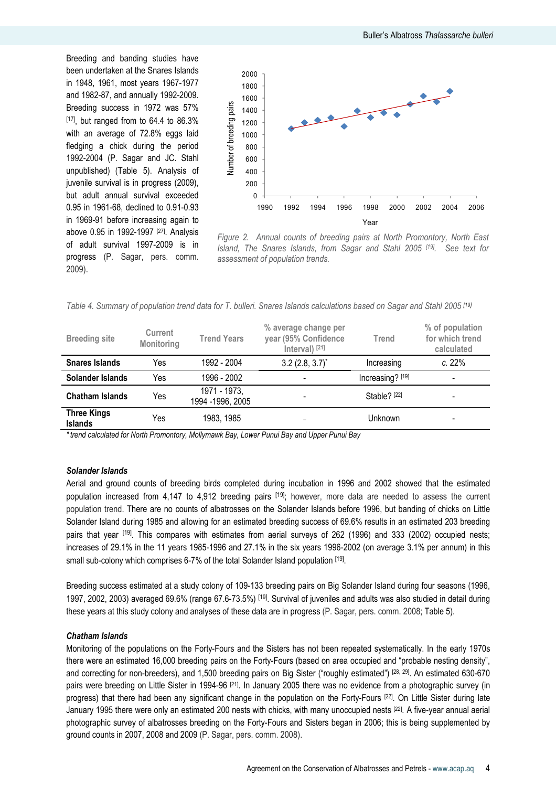Breeding and banding studies have been undertaken at the Snares Islands in 1948, 1961, most years 1967-1977 and 1982-87, and annually 1992-2009. Breeding success in 1972 was 57%  $[17]$ , but ranged from to 64.4 to 86.3% with an average of 72.8% eggs laid fledging a chick during the period 1992-2004 (P. Sagar and JC. Stahl unpublished) (Table 5). Analysis of juvenile survival is in progress (2009), but adult annual survival exceeded 0.95 in 1961-68, declined to 0.91-0.93 in 1969-91 before increasing again to above 0.95 in 1992-1997 [27]. Analysis of adult survival 1997-2009 is in progress (P. Sagar, pers. comm. 2009).



Figure 2. Annual counts of breeding pairs at North Promontory, North East Island, The Snares Islands, from Sagar and Stahl 2005 [19]. See text for assessment of population trends.

| Table 4. Summary of population trend data for T. bulleri. Snares Islands calculations based on Sagar and Stahl 2005 [19] |  |  |  |  |  |  |
|--------------------------------------------------------------------------------------------------------------------------|--|--|--|--|--|--|
|                                                                                                                          |  |  |  |  |  |  |

| <b>Breeding site</b>                 | Current<br>Monitoring | <b>Trend Years</b>                | % average change per<br>year (95% Confidence<br>Interval) [21] | Trend                   | % of population<br>for which trend<br>calculated |
|--------------------------------------|-----------------------|-----------------------------------|----------------------------------------------------------------|-------------------------|--------------------------------------------------|
| <b>Snares Islands</b>                | Yes                   | 1992 - 2004                       | $3.2$ (2.8, 3.7) <sup>*</sup>                                  | Increasing              | c.22%                                            |
| Solander Islands                     | Yes                   | 1996 - 2002                       |                                                                | Increasing? [19]        | $\overline{\phantom{a}}$                         |
| <b>Chatham Islands</b>               | Yes                   | 1971 - 1973,<br>1994 - 1996, 2005 |                                                                | Stable? <sup>[22]</sup> |                                                  |
| <b>Three Kings</b><br><b>Islands</b> | Yes                   | 1983, 1985                        |                                                                | Unknown                 |                                                  |

\*trend calculated for North Promontory, Mollymawk Bay, Lower Punui Bay and Upper Punui Bay

#### Solander Islands

Aerial and ground counts of breeding birds completed during incubation in 1996 and 2002 showed that the estimated population increased from 4,147 to 4,912 breeding pairs <sup>[19]</sup>; however, more data are needed to assess the current population trend. There are no counts of albatrosses on the Solander Islands before 1996, but banding of chicks on Little Solander Island during 1985 and allowing for an estimated breeding success of 69.6% results in an estimated 203 breeding pairs that year [19]. This compares with estimates from aerial surveys of 262 (1996) and 333 (2002) occupied nests; increases of 29.1% in the 11 years 1985-1996 and 27.1% in the six years 1996-2002 (on average 3.1% per annum) in this small sub-colony which comprises 6-7% of the total Solander Island population [19].

Breeding success estimated at a study colony of 109-133 breeding pairs on Big Solander Island during four seasons (1996, 1997, 2002, 2003) averaged 69.6% (range 67.6-73.5%) [19]. Survival of juveniles and adults was also studied in detail during these years at this study colony and analyses of these data are in progress (P. Sagar, pers. comm. 2008; Table 5).

#### Chatham Islands

Monitoring of the populations on the Forty-Fours and the Sisters has not been repeated systematically. In the early 1970s there were an estimated 16,000 breeding pairs on the Forty-Fours (based on area occupied and "probable nesting density", and correcting for non-breeders), and 1,500 breeding pairs on Big Sister ("roughly estimated") [28, 29]. An estimated 630-670 pairs were breeding on Little Sister in 1994-96<sup>[21]</sup>. In January 2005 there was no evidence from a photographic survey (in progress) that there had been any significant change in the population on the Forty-Fours [22] . On Little Sister during late January 1995 there were only an estimated 200 nests with chicks, with many unoccupied nests [22] . A five-year annual aerial photographic survey of albatrosses breeding on the Forty-Fours and Sisters began in 2006; this is being supplemented by ground counts in 2007, 2008 and 2009 (P. Sagar, pers. comm. 2008).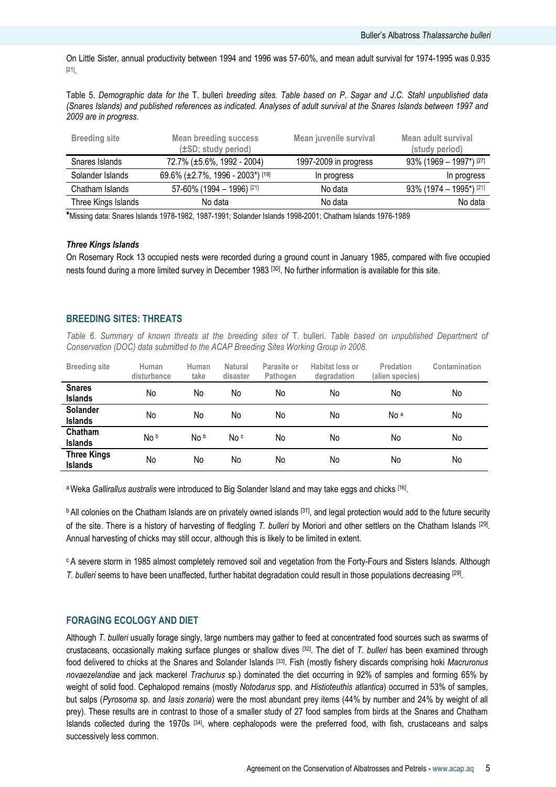On Little Sister, annual productivity between 1994 and 1996 was 57-60%, and mean adult survival for 1974-1995 was 0.935 [21] .

Table 5. Demographic data for the T. bulleri breeding sites. Table based on P. Sagar and J.C. Stahl unpublished data (Snares Islands) and published references as indicated. Analyses of adult survival at the Snares Islands between 1997 and 2009 are in progress.

| <b>Breeding site</b> | <b>Mean breeding success</b><br>(±SD; study period) | Mean juvenile survival | Mean adult survival<br>(study period) |
|----------------------|-----------------------------------------------------|------------------------|---------------------------------------|
| Snares Islands       | 72.7% (±5.6%, 1992 - 2004)                          | 1997-2009 in progress  | $93\%$ (1969 – 1997*) [27]            |
| Solander Islands     | 69.6% (±2.7%, 1996 - 2003*) [19]                    | In progress            | In progress                           |
| Chatham Islands      | 57-60% (1994 - 1996) [21]                           | No data                | $93\%$ (1974 – 1995*) [21]            |
| Three Kings Islands  | No data                                             | No data                | No data                               |

\*Missing data: Snares Islands 1978-1982, 1987-1991; Solander Islands 1998-2001; Chatham Islands 1976-1989

#### Three Kings Islands

On Rosemary Rock 13 occupied nests were recorded during a ground count in January 1985, compared with five occupied nests found during a more limited survey in December 1983 [30]. No further information is available for this site.

## BREEDING SITES: THREATS

Table 6. Summary of known threats at the breeding sites of T. bulleri. Table based on unpublished Department of Conservation (DOC) data submitted to the ACAP Breeding Sites Working Group in 2008.

| <b>Breeding site</b>                 | Human<br>disturbance | Human<br>take | <b>Natural</b><br>disaster | Parasite or<br>Pathogen | Habitat loss or<br>degradation | Predation<br>(alien species) | Contamination |
|--------------------------------------|----------------------|---------------|----------------------------|-------------------------|--------------------------------|------------------------------|---------------|
| <b>Snares</b><br><b>Islands</b>      | No                   | No            | No                         | No                      | No                             | No                           | No            |
| <b>Solander</b><br><b>Islands</b>    | No                   | No            | No                         | No                      | No                             | No <sup>a</sup>              | No            |
| Chatham<br><b>Islands</b>            | No b                 | No b          | No c                       | No                      | No                             | No                           | No            |
| <b>Three Kings</b><br><b>Islands</b> | No                   | No            | No                         | No                      | No                             | No                           | No            |

a Weka Gallirallus australis were introduced to Big Solander Island and may take eggs and chicks [16].

<sup>b</sup> All colonies on the Chatham Islands are on privately owned islands [31], and legal protection would add to the future security of the site. There is a history of harvesting of fledgling T. bulleri by Moriori and other settlers on the Chatham Islands <sup>[29]</sup>. Annual harvesting of chicks may still occur, although this is likely to be limited in extent.

<sup>c</sup> A severe storm in 1985 almost completely removed soil and vegetation from the Forty-Fours and Sisters Islands. Although T. bulleri seems to have been unaffected, further habitat degradation could result in those populations decreasing [29].

#### FORAGING ECOLOGY AND DIET

Although T. bulleri usually forage singly, large numbers may gather to feed at concentrated food sources such as swarms of crustaceans, occasionally making surface plunges or shallow dives  $[32]$ . The diet of T. bulleri has been examined through food delivered to chicks at the Snares and Solander Islands [33]. Fish (mostly fishery discards comprising hoki Macruronus novaezelandiae and jack mackerel Trachurus sp.) dominated the diet occurring in 92% of samples and forming 65% by weight of solid food. Cephalopod remains (mostly Notodarus spp. and Histioteuthis atlantica) occurred in 53% of samples, but salps (Pyrosoma sp. and Iasis zonaria) were the most abundant prey items (44% by number and 24% by weight of all prey). These results are in contrast to those of a smaller study of 27 food samples from birds at the Snares and Chatham Islands collected during the 1970s [34], where cephalopods were the preferred food, with fish, crustaceans and salps successively less common.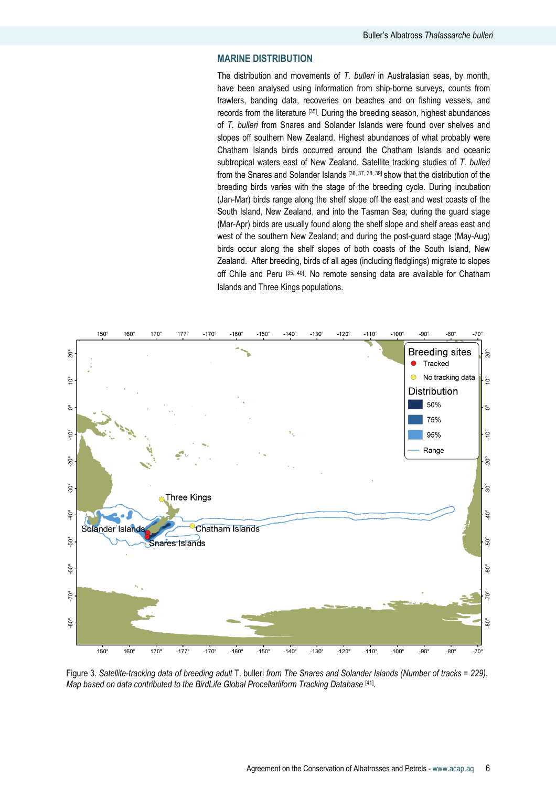# MARINE DISTRIBUTION

The distribution and movements of T. bulleri in Australasian seas, by month, have been analysed using information from ship-borne surveys, counts from trawlers, banding data, recoveries on beaches and on fishing vessels, and records from the literature [35]. During the breeding season, highest abundances of T. bulleri from Snares and Solander Islands were found over shelves and slopes off southern New Zealand. Highest abundances of what probably were Chatham Islands birds occurred around the Chatham Islands and oceanic subtropical waters east of New Zealand. Satellite tracking studies of T. bulleri from the Snares and Solander Islands [36, 37, 38, 39] show that the distribution of the breeding birds varies with the stage of the breeding cycle. During incubation (Jan-Mar) birds range along the shelf slope off the east and west coasts of the South Island, New Zealand, and into the Tasman Sea; during the guard stage (Mar-Apr) birds are usually found along the shelf slope and shelf areas east and west of the southern New Zealand; and during the post-guard stage (May-Aug) birds occur along the shelf slopes of both coasts of the South Island, New Zealand. After breeding, birds of all ages (including fledglings) migrate to slopes off Chile and Peru [35, 40]. No remote sensing data are available for Chatham Islands and Three Kings populations.



Figure 3. Satellite-tracking data of breeding adult T. bulleri from The Snares and Solander Islands (Number of tracks = 229). Map based on data contributed to the BirdLife Global Procellariiform Tracking Database [41].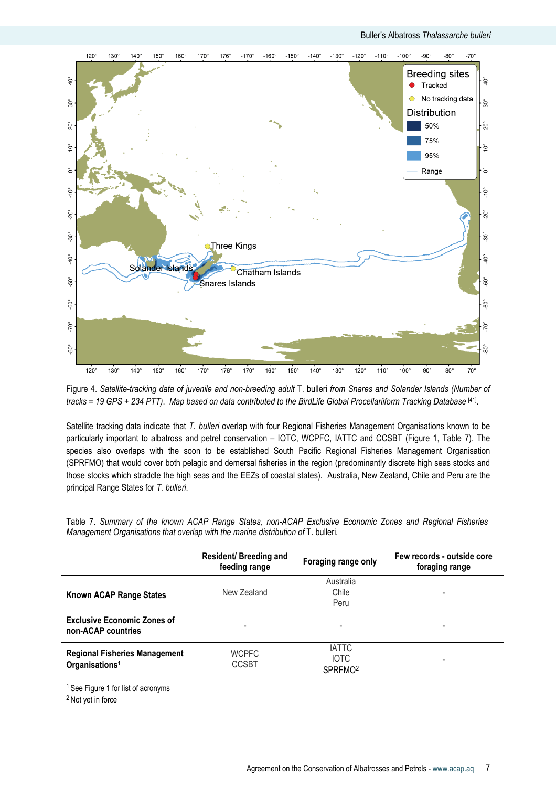

Figure 4. Satellite-tracking data of juvenile and non-breeding adult T. bulleri from Snares and Solander Islands (Number of tracks = 19 GPS + 234 PTT). Map based on data contributed to the BirdLife Global Procellariiform Tracking Database [41].

Satellite tracking data indicate that T. bulleri overlap with four Regional Fisheries Management Organisations known to be particularly important to albatross and petrel conservation – IOTC, WCPFC, IATTC and CCSBT (Figure 1, Table 7). The species also overlaps with the soon to be established South Pacific Regional Fisheries Management Organisation (SPRFMO) that would cover both pelagic and demersal fisheries in the region (predominantly discrete high seas stocks and those stocks which straddle the high seas and the EEZs of coastal states). Australia, New Zealand, Chile and Peru are the principal Range States for T. bulleri.

Table 7. Summary of the known ACAP Range States, non-ACAP Exclusive Economic Zones and Regional Fisheries Management Organisations that overlap with the marine distribution of T. bulleri.

|                                                                    | Resident/ Breeding and<br>feeding range | Foraging range only                                | Few records - outside core<br>foraging range |
|--------------------------------------------------------------------|-----------------------------------------|----------------------------------------------------|----------------------------------------------|
| Known ACAP Range States                                            | New Zealand                             | Australia<br>Chile<br>Peru                         |                                              |
| <b>Exclusive Economic Zones of</b><br>non-ACAP countries           |                                         | -                                                  | $\overline{\phantom{0}}$                     |
| <b>Regional Fisheries Management</b><br>Organisations <sup>1</sup> | <b>WCPFC</b><br><b>CCSBT</b>            | <b>IATTC</b><br><b>IOTC</b><br>SPRFMO <sup>2</sup> | $\overline{\phantom{0}}$                     |

<sup>1</sup> See Figure 1 for list of acronyms

<sup>2</sup> Not yet in force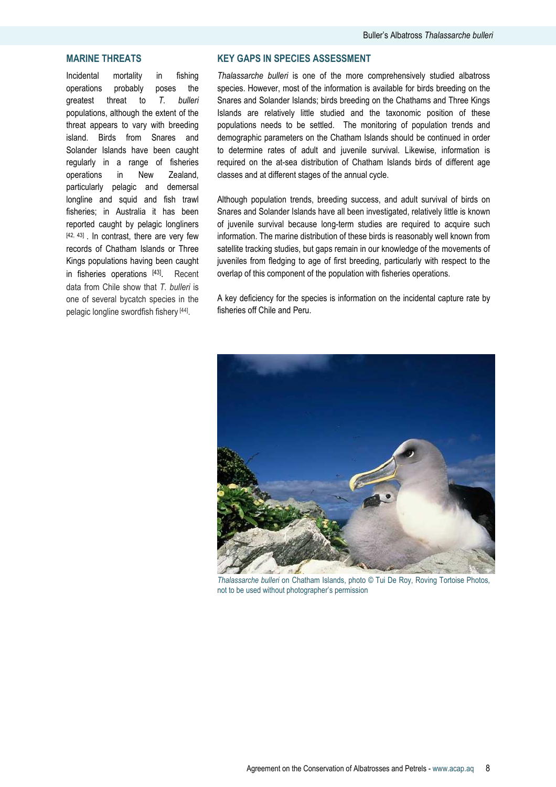# MARINE THREATS

Incidental mortality in fishing operations probably poses the greatest threat to T. bulleri populations, although the extent of the threat appears to vary with breeding island. Birds from Snares and Solander Islands have been caught regularly in a range of fisheries operations in New Zealand, particularly pelagic and demersal longline and squid and fish trawl fisheries; in Australia it has been reported caught by pelagic longliners [42, 43]. In contrast, there are very few records of Chatham Islands or Three Kings populations having been caught in fisheries operations [43]. Recent data from Chile show that T. bulleri is one of several bycatch species in the pelagic longline swordfish fishery [44].

# KEY GAPS IN SPECIES ASSESSMENT

Thalassarche bulleri is one of the more comprehensively studied albatross species. However, most of the information is available for birds breeding on the Snares and Solander Islands; birds breeding on the Chathams and Three Kings Islands are relatively little studied and the taxonomic position of these populations needs to be settled. The monitoring of population trends and demographic parameters on the Chatham Islands should be continued in order to determine rates of adult and juvenile survival. Likewise, information is required on the at-sea distribution of Chatham Islands birds of different age classes and at different stages of the annual cycle.

Although population trends, breeding success, and adult survival of birds on Snares and Solander Islands have all been investigated, relatively little is known of juvenile survival because long-term studies are required to acquire such information. The marine distribution of these birds is reasonably well known from satellite tracking studies, but gaps remain in our knowledge of the movements of juveniles from fledging to age of first breeding, particularly with respect to the overlap of this component of the population with fisheries operations.

A key deficiency for the species is information on the incidental capture rate by fisheries off Chile and Peru.



Thalassarche bulleri on Chatham Islands, photo © Tui De Roy, Roving Tortoise Photos, not to be used without photographer's permission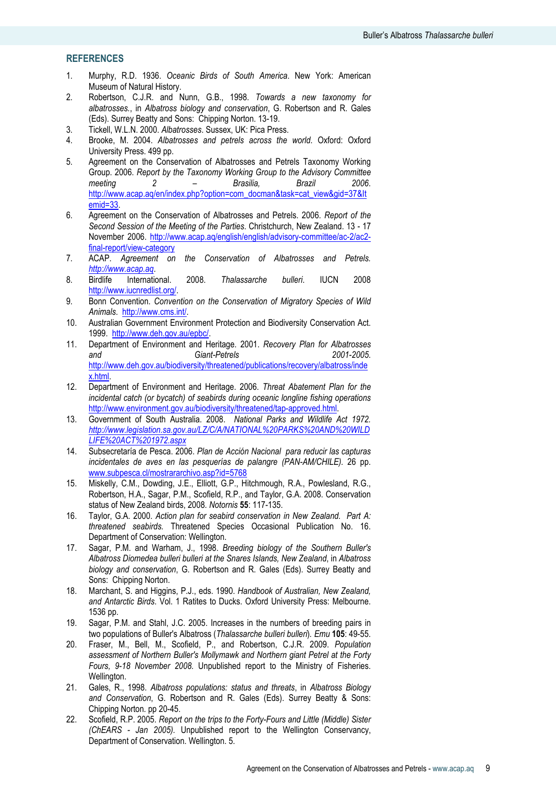# **REFERENCES**

- 1. Murphy, R.D. 1936. Oceanic Birds of South America. New York: American Museum of Natural History.
- 2. Robertson, C.J.R. and Nunn, G.B., 1998. Towards a new taxonomy for albatrosses., in Albatross biology and conservation, G. Robertson and R. Gales (Eds). Surrey Beatty and Sons: Chipping Norton. 13-19.
- 3. Tickell, W.L.N. 2000. Albatrosses. Sussex, UK: Pica Press.
- 4. Brooke, M. 2004. Albatrosses and petrels across the world. Oxford: Oxford University Press. 499 pp.
- 5. Agreement on the Conservation of Albatrosses and Petrels Taxonomy Working Group. 2006. Report by the Taxonomy Working Group to the Advisory Committee meeting 2 – Brasilia, Brazil 2006. http://www.acap.aq/en/index.php?option=com\_docman&task=cat\_view&gid=37&It emid=33.
- 6. Agreement on the Conservation of Albatrosses and Petrels. 2006. Report of the Second Session of the Meeting of the Parties. Christchurch, New Zealand. 13 - 17 November 2006. http://www.acap.aq/english/english/advisory-committee/ac-2/ac2 final-report/view-category
- 7. ACAP. Agreement on the Conservation of Albatrosses and Petrels. http://www.acap.aq.
- 8. Birdlife International. 2008. Thalassarche bulleri. IUCN 2008 http://www.iucnredlist.org/.
- 9. Bonn Convention. Convention on the Conservation of Migratory Species of Wild Animals. http://www.cms.int/.
- 10. Australian Government Environment Protection and Biodiversity Conservation Act. 1999. http://www.deh.gov.au/epbc/.
- 11. Department of Environment and Heritage. 2001. Recovery Plan for Albatrosses<br>2001-2005. 6iant-Petrels and Giant-Petrels http://www.deh.gov.au/biodiversity/threatened/publications/recovery/albatross/inde x.html.
- 12. Department of Environment and Heritage. 2006. Threat Abatement Plan for the incidental catch (or bycatch) of seabirds during oceanic longline fishing operations http://www.environment.gov.au/biodiversity/threatened/tap-approved.html.
- 13. Government of South Australia. 2008. National Parks and Wildlife Act 1972. http://www.legislation.sa.gov.au/LZ/C/A/NATIONAL%20PARKS%20AND%20WILD LIFE%20ACT%201972.aspx
- 14. Subsecretaría de Pesca. 2006. Plan de Acción Nacional para reducir las capturas incidentales de aves en las pesquerías de palangre (PAN-AM/CHILE). 26 pp. www.subpesca.cl/mostrararchivo.asp?id=5768
- 15. Miskelly, C.M., Dowding, J.E., Elliott, G.P., Hitchmough, R.A., Powlesland, R.G., Robertson, H.A., Sagar, P.M., Scofield, R.P., and Taylor, G.A. 2008. Conservation status of New Zealand birds, 2008. Notornis 55: 117-135.
- 16. Taylor, G.A. 2000. Action plan for seabird conservation in New Zealand. Part A: threatened seabirds. Threatened Species Occasional Publication No. 16. Department of Conservation: Wellington.
- 17. Sagar, P.M. and Warham, J., 1998. Breeding biology of the Southern Buller's Albatross Diomedea bulleri bulleri at the Snares Islands, New Zealand, in Albatross biology and conservation, G. Robertson and R. Gales (Eds). Surrey Beatty and Sons: Chipping Norton.
- 18. Marchant, S. and Higgins, P.J., eds. 1990. Handbook of Australian, New Zealand, and Antarctic Birds. Vol. 1 Ratites to Ducks. Oxford University Press: Melbourne. 1536 pp.
- 19. Sagar, P.M. and Stahl, J.C. 2005. Increases in the numbers of breeding pairs in two populations of Buller's Albatross (Thalassarche bulleri bulleri). Emu 105: 49-55.
- 20. Fraser, M., Bell, M., Scofield, P., and Robertson, C.J.R. 2009. Population assessment of Northern Buller's Mollymawk and Northern giant Petrel at the Forty Fours, 9-18 November 2008. Unpublished report to the Ministry of Fisheries. Wellington.
- 21. Gales, R., 1998. Albatross populations: status and threats, in Albatross Biology and Conservation, G. Robertson and R. Gales (Eds). Surrey Beatty & Sons: Chipping Norton. pp 20-45.
- 22. Scofield, R.P. 2005. Report on the trips to the Forty-Fours and Little (Middle) Sister (ChEARS - Jan 2005). Unpublished report to the Wellington Conservancy, Department of Conservation. Wellington. 5.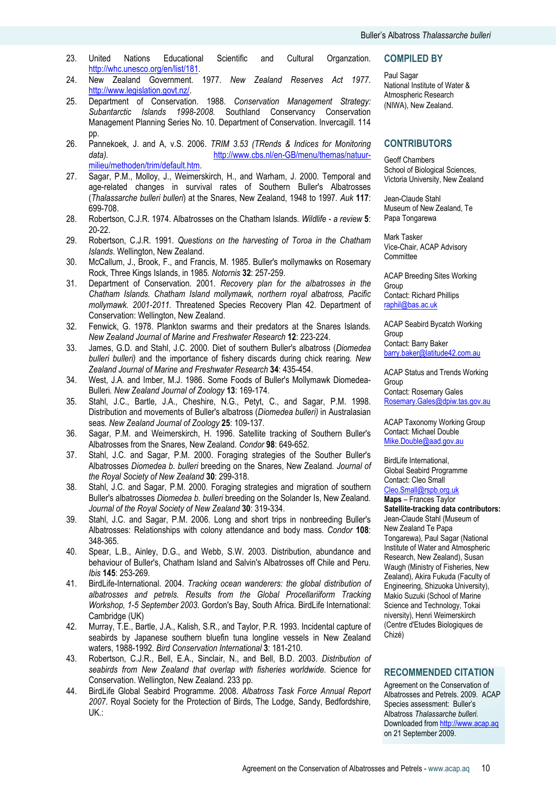- 23. United Nations Educational Scientific and Cultural Organzation. http://whc.unesco.org/en/list/181.
- 24. New Zealand Government. 1977. New Zealand Reserves Act 1977. http://www.legislation.govt.nz/.
- 25. Department of Conservation. 1988. Conservation Management Strategy: Subantarctic Islands 1998-2008. Southland Conservancy Conservation Management Planning Series No. 10. Department of Conservation. Invercagill. 114 pp.
- 26. Pannekoek, J. and A, v.S. 2006. TRIM 3.53 (TRends & Indices for Monitoring data). http://www.cbs.nl/en-GB/menu/themas/natuurmilieu/methoden/trim/default.htm.
- 27. Sagar, P.M., Molloy, J., Weimerskirch, H., and Warham, J. 2000. Temporal and age-related changes in survival rates of Southern Buller's Albatrosses (Thalassarche bulleri bulleri) at the Snares, New Zealand, 1948 to 1997. Auk 117: 699-708.
- 28. Robertson, C.J.R. 1974. Albatrosses on the Chatham Islands. Wildlife a review 5: 20-22.
- 29. Robertson, C.J.R. 1991. Questions on the harvesting of Toroa in the Chatham Islands. Wellington, New Zealand.
- 30. McCallum, J., Brook, F., and Francis, M. 1985. Buller's mollymawks on Rosemary Rock, Three Kings Islands, in 1985. Notornis 32: 257-259.
- 31. Department of Conservation. 2001. Recovery plan for the albatrosses in the Chatham Islands. Chatham Island mollymawk, northern royal albatross, Pacific mollymawk. 2001-2011. Threatened Species Recovery Plan 42. Department of Conservation: Wellington, New Zealand.
- 32. Fenwick, G. 1978. Plankton swarms and their predators at the Snares Islands. New Zealand Journal of Marine and Freshwater Research 12: 223-224.
- 33. James, G.D. and Stahl, J.C. 2000. Diet of southern Buller's albatross (Diomedea bulleri bulleri) and the importance of fishery discards during chick rearing. New Zealand Journal of Marine and Freshwater Research 34: 435-454.
- 34. West, J.A. and Imber, M.J. 1986. Some Foods of Buller's Mollymawk Diomedea-Bulleri. New Zealand Journal of Zoology 13: 169-174.
- 35. Stahl, J.C., Bartle, J.A., Cheshire, N.G., Petyt, C., and Sagar, P.M. 1998. Distribution and movements of Buller's albatross (Diomedea bulleri) in Australasian seas. New Zealand Journal of Zoology 25: 109-137.
- 36. Sagar, P.M. and Weimerskirch, H. 1996. Satellite tracking of Southern Buller's Albatrosses from the Snares, New Zealand. Condor 98: 649-652.
- 37. Stahl, J.C. and Sagar, P.M. 2000. Foraging strategies of the Souther Buller's Albatrosses Diomedea b. bulleri breeding on the Snares, New Zealand. Journal of the Royal Society of New Zealand 30: 299-318.
- 38. Stahl, J.C. and Sagar, P.M. 2000. Foraging strategies and migration of southern Buller's albatrosses Diomedea b. bulleri breeding on the Solander Is, New Zealand. Journal of the Royal Society of New Zealand 30: 319-334.
- 39. Stahl, J.C. and Sagar, P.M. 2006. Long and short trips in nonbreeding Buller's Albatrosses: Relationships with colony attendance and body mass. Condor 108: 348-365.
- 40. Spear, L.B., Ainley, D.G., and Webb, S.W. 2003. Distribution, abundance and behaviour of Buller's, Chatham Island and Salvin's Albatrosses off Chile and Peru. Ibis 145: 253-269.
- 41. BirdLife-International. 2004. Tracking ocean wanderers: the global distribution of albatrosses and petrels. Results from the Global Procellariiform Tracking Workshop, 1-5 September 2003. Gordon's Bay, South Africa. BirdLife International: Cambridge (UK)
- 42. Murray, T.E., Bartle, J.A., Kalish, S.R., and Taylor, P.R. 1993. Incidental capture of seabirds by Japanese southern bluefin tuna longline vessels in New Zealand waters, 1988-1992. Bird Conservation International 3: 181-210.
- 43. Robertson, C.J.R., Bell, E.A., Sinclair, N., and Bell, B.D. 2003. Distribution of seabirds from New Zealand that overlap with fisheries worldwide. Science for Conservation. Wellington, New Zealand. 233 pp.
- 44. BirdLife Global Seabird Programme. 2008. Albatross Task Force Annual Report 2007. Royal Society for the Protection of Birds, The Lodge, Sandy, Bedfordshire, UK.:

#### COMPILED BY

Paul Sagar National Institute of Water & Atmospheric Research (NIWA), New Zealand.

#### **CONTRIBUTORS**

Geoff Chambers School of Biological Sciences. Victoria University, New Zealand

Jean-Claude Stahl Museum of New Zealand, Te Papa Tongarewa

Mark Tasker Vice-Chair, ACAP Advisory **Committee** 

ACAP Breeding Sites Working Group Contact: Richard Phillips raphil@bas.ac.uk

ACAP Seabird Bycatch Working Group Contact: Barry Baker

barry.baker@latitude42.com.au

ACAP Status and Trends Working Group Contact: Rosemary Gales Rosemary.Gales@dpiw.tas.gov.au

ACAP Taxonomy Working Group Contact: Michael Double Mike.Double@aad.gov.au

BirdLife International, Global Seabird Programme Contact: Cleo Small Cleo.Small@rspb.org.uk

Maps – Frances Taylor

Satellite-tracking data contributors: Jean-Claude Stahl (Museum of New Zealand Te Papa Tongarewa), Paul Sagar (National Institute of Water and Atmospheric Research, New Zealand), Susan Waugh (Ministry of Fisheries, New Zealand), Akira Fukuda (Faculty of Engineering, Shizuoka University), Makio Suzuki (School of Marine Science and Technology, Tokai niversity), Henri Weimerskirch (Centre d'Etudes Biologiques de Chizé)

#### RECOMMENDED CITATION

Agreement on the Conservation of Albatrosses and Petrels. 2009. ACAP Species assessment: Buller's Albatross Thalassarche bulleri. Downloaded from http://www.acap.aq on 21 September 2009.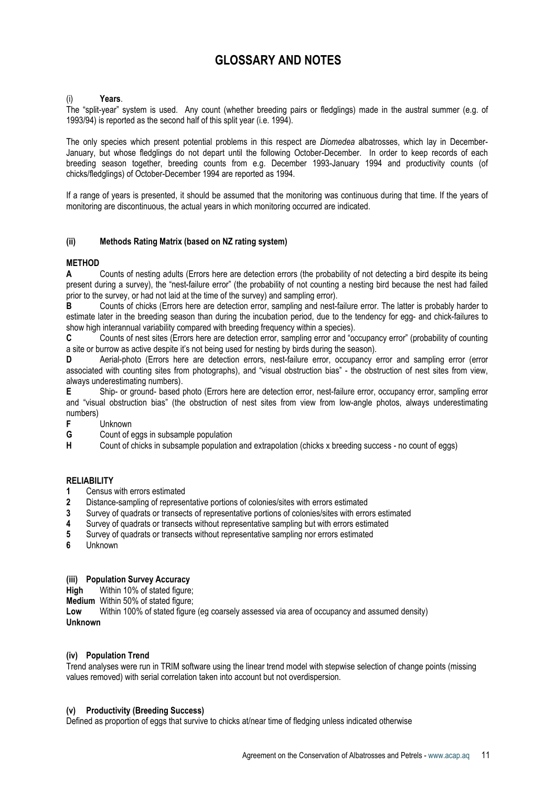# GLOSSARY AND NOTES

#### Years.

The "split-year" system is used. Any count (whether breeding pairs or fledglings) made in the austral summer (e.g. of 1993/94) is reported as the second half of this split year (i.e. 1994).

The only species which present potential problems in this respect are *Diomedea* albatrosses, which lay in December-January, but whose fledglings do not depart until the following October-December. In order to keep records of each breeding season together, breeding counts from e.g. December 1993-January 1994 and productivity counts (of chicks/fledglings) of October-December 1994 are reported as 1994.

If a range of years is presented, it should be assumed that the monitoring was continuous during that time. If the years of monitoring are discontinuous, the actual years in which monitoring occurred are indicated.

#### (ii) Methods Rating Matrix (based on NZ rating system)

# **METHOD**

A Counts of nesting adults (Errors here are detection errors (the probability of not detecting a bird despite its being present during a survey), the "nest-failure error" (the probability of not counting a nesting bird because the nest had failed prior to the survey, or had not laid at the time of the survey) and sampling error).

B Counts of chicks (Errors here are detection error, sampling and nest-failure error. The latter is probably harder to estimate later in the breeding season than during the incubation period, due to the tendency for egg- and chick-failures to show high interannual variability compared with breeding frequency within a species).

C Counts of nest sites (Errors here are detection error, sampling error and "occupancy error" (probability of counting a site or burrow as active despite it's not being used for nesting by birds during the season).

D Aerial-photo (Errors here are detection errors, nest-failure error, occupancy error and sampling error (error associated with counting sites from photographs), and "visual obstruction bias" - the obstruction of nest sites from view, always underestimating numbers).

E Ship- or ground- based photo (Errors here are detection error, nest-failure error, occupancy error, sampling error and "visual obstruction bias" (the obstruction of nest sites from view from low-angle photos, always underestimating numbers)<br>F

- Unknown
- G Count of eggs in subsample population

H Count of chicks in subsample population and extrapolation (chicks x breeding success - no count of eggs)

#### RELIABILITY

- 1 Census with errors estimated
- 2 Distance-sampling of representative portions of colonies/sites with errors estimated
- 3 Survey of quadrats or transects of representative portions of colonies/sites with errors estimated
- 4 Survey of quadrats or transects without representative sampling but with errors estimated
- 5 Survey of quadrats or transects without representative sampling nor errors estimated
- 6 Unknown

# (iii) Population Survey Accuracy

High Within 10% of stated figure:

**Medium** Within 50% of stated figure;<br>**I ow** Within 100% of stated figure

Within 100% of stated figure (eg coarsely assessed via area of occupancy and assumed density) Unknown

#### (iv) Population Trend

Trend analyses were run in TRIM software using the linear trend model with stepwise selection of change points (missing values removed) with serial correlation taken into account but not overdispersion.

#### (v) Productivity (Breeding Success)

Defined as proportion of eggs that survive to chicks at/near time of fledging unless indicated otherwise